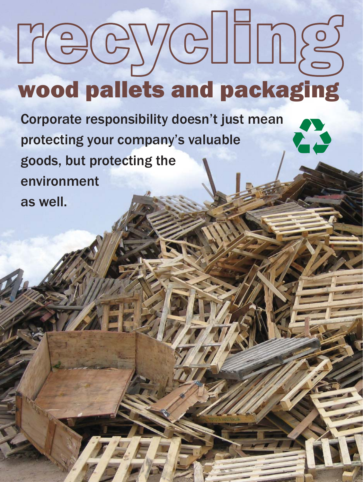# wood pallets and packaging recycling

Corporate responsibility doesn't just mean protecting your company's valuable goods, but protecting the environment as well.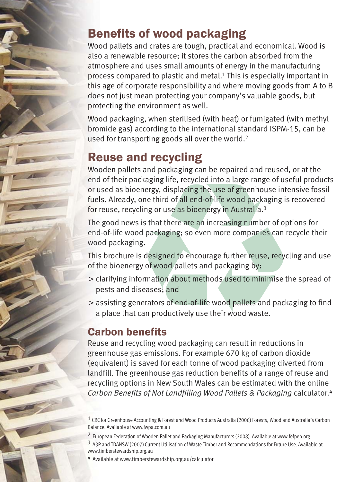### Benefits of wood packaging

Wood pallets and crates are tough, practical and economical. Wood is also a renewable resource; it stores the carbon absorbed from the atmosphere and uses small amounts of energy in the manufacturing process compared to plastic and metal.<sup>1</sup> This is especially important in this age of corporate responsibility and where moving goods from A to B does not just mean protecting your company's valuable goods, but protecting the environment as well.

used for transporting goods all over the world.<sup>2</sup> Wood packaging, when sterilised (with heat) or fumigated (with methyl bromide gas) according to the international standard ISPM-15, can be

#### Reuse and recycling

Wooden pallets and packaging can be repaired and reused, or at the end of their packaging life, recycled into a large range of useful products or used as bioenergy, displacing the use of greenhouse intensive fossil fuels. Already, one third of all end-of-life wood packaging is recovered for reuse, recycling or use as bioenergy in Australia. 3

. wood packaging The good news is that there are an increasing number of options for end-of-life wood packaging; so even more companies can recycle their

This brochure is designed to encourage further reuse, recycling and use of the bioenergy of wood pallets and packaging by:

- clarifying information about methods used to minimise the spread of pests and diseases; and
- assisting generators of end-of-life wood pallets and packaging to find a place that can productively use their wood waste.

#### Carbon benefits

Carbon Benefits of Not Landfilling Wood Pallets & Packaging calculator.<sup>4</sup> Reuse and recycling wood packaging can result in reductions in greenhouse gas emissions. For example 670 kg of carbon dioxide (equivalent) is saved for each tonne of wood packaging diverted from landfill. The greenhouse gas reduction benefits of a range of reuse and recycling options in New South Wales can be estimated with the online

<sup>&</sup>lt;sup>1</sup> CRC for Greenhouse Accounting & Forest and Wood Products Australia (2006) Forests, Wood and Australia's Carbon Balance. Available at www.fwpa.com.au

<sup>2</sup> European Federation of Wooden Pallet and Packaging Manufacturers (2008). Available at www.fefpeb.org 3 A3P and TDANSW (2007) Current Utilisation of Waste Timber and Recommendations for Future Use. Available at www.timberstewardship.org.au

<sup>4</sup> Available at www.timberstewardship.org.au/calculator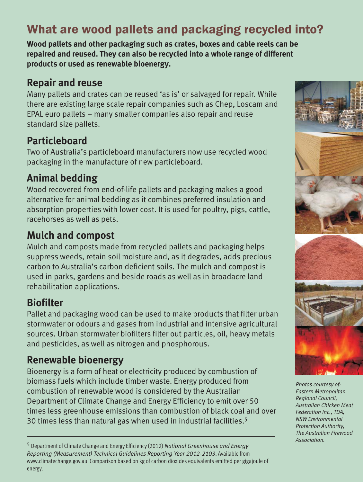## What are wood pallets and packaging recycled into?

**Wood pallets and other packaging such as crates, boxes and cable reels can be repaired and reused. They can also be recycled into a whole range of different products or used as renewable bioenergy.**

#### **Repair and reuse**

Many pallets and crates can be reused 'as is' or salvaged for repair. While there are existing large scale repair companies such as Chep, Loscam and EPAL euro pallets – many smaller companies also repair and reuse standard size pallets.

#### **Particleboard**

Two of Australia's particleboard manufacturers now use recycled wood packaging in the manufacture of new particleboard.

#### **Animal bedding**

Wood recovered from end-of-life pallets and packaging makes a good alternative for animal bedding as it combines preferred insulation and absorption properties with lower cost. It is used for poultry, pigs, cattle, racehorses as well as pets.

#### **Mulch and compost**

Mulch and composts made from recycled pallets and packaging helps suppress weeds, retain soil moisture and, as it degrades, adds precious carbon to Australia's carbon deficient soils. The mulch and compost is used in parks, gardens and beside roads as well as in broadacre land rehabilitation applications.

#### **Biofilter**

Pallet and packaging wood can be used to make products that filter urban stormwater or odours and gases from industrial and intensive agricultural sources. Urban stormwater biofilters filter out particles, oil, heavy metals and pesticides, as well as nitrogen and phosphorous.

#### **Renewable bioenergy**

Bioenergy is a form of heat or electricity produced by combustion of biomass fuels which include timber waste. Energy produced from combustion of renewable wood is considered by the Australian Department of Climate Change and Energy Efficiency to emit over 50 times less greenhouse emissions than combustion of black coal and over 30 times less than natural gas when used in industrial facilities. 5



*Photos courtesy of: Eastern Metropolitan Regional Council, Australian Chicken Meat Federation Inc., TDA, NSW Environmental Protection Authority, The Australian Firewood Association.*

<sup>5</sup> Department of Climate Change and Energy Efficiency (2012) *National Greenhouse and Energy* Reporting (Measurement) Technical Guidelines Reporting Year 2012-2103. Available from www.climatechange.gov.au Comparison based on kg of carbon dioxides equivalents emitted per gigajoule of energy.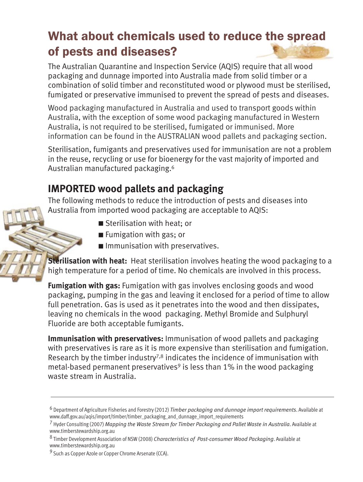## What about chemicals used to reduce the spread of pests and diseases?

The Australian Quarantine and Inspection Service (AQIS) require that all wood packaging and dunnage imported into Australia made from solid timber or a combination of solid timber and reconstituted wood or plywood must be sterilised, fumigated or preservative immunised to prevent the spread of pests and diseases.

information can be found in the AUSTRALIAN wood pallets and packaging section. Wood packaging manufactured in Australia and used to transport goods within Australia, with the exception of some wood packaging manufactured in Western Australia, is not required to be sterilised, fumigated or immunised. More

Sterilisation, fumigants and preservatives used for immunisation are not a problem in the reuse, recycling or use for bioenergy for the vast majority of imported and Australian manufactured packaging.6

#### **IMPORTED wood pallets and packaging**

The following methods to reduce the introduction of pests and diseases into Australia from imported wood packaging are acceptable to AQIS:

- Sterilisation with heat; or
- Fumigation with gas; or
- **Immunisation with preservatives.**

**Sterilisation with heat:** Heat sterilisation involves heating the wood packaging to a high temperature for a period of time. No chemicals are involved in this process.

Fumigation with gas: Fumigation with gas involves enclosing goods and wood packaging, pumping in the gas and leaving it enclosed for a period of time to allow full penetration. Gas is used as it penetrates into the wood and then dissipates, leaving no chemicals in the wood packaging. Methyl Bromide and Sulphuryl Fluoride are both acceptable fumigants.

Immunisation with preservatives: Immunisation of wood pallets and packaging with preservatives is rare as it is more expensive than sterilisation and fumigation. Research by the timber industry<sup>7,8</sup> indicates the incidence of immunisation with metal-based permanent preservatives<sup>9</sup> is less than 1% in the wood packaging waste stream in Australia.

<sup>&</sup>lt;sup>6</sup> Department of Agriculture Fisheries and Forestry (2012) Timber packaging and dunnage import requirements. Available at www.daff.gov.au/aqis/import/timber/timber\_packaging\_and\_dunnage\_import\_requirements

<sup>&</sup>lt;sup>7</sup> Hyder Consulting (2007) Mapping the Waste Stream for Timber Packaging and Pallet Waste in Australia. Available at www.timberstewardship.org.au

<sup>&</sup>lt;sup>8</sup> Timber Development Association of NSW (2008) Characteristics of Post-consumer Wood Packaging. Available at www.timberstewardship.org.au

<sup>&</sup>lt;sup>9</sup> Such as Copper Azole or Copper Chrome Arsenate (CCA).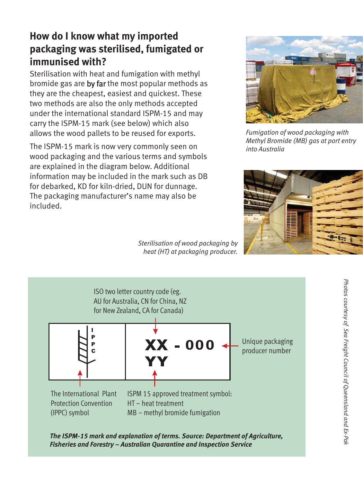#### **How do I know what my imported packaging was sterilised, fumigated or immunised with?**

Sterilisation with heat and fumigation with methyl bromide gas are by far the most popular methods as they are the cheapest, easiest and quickest. These two methods are also the only methods accepted under the international standard ISPM-15 and may carry the ISPM-15 mark (see below) which also allows the wood pallets to be reused for exports.

The ISPM-15 mark is now very commonly seen on wood packaging and the various terms and symbols are explained in the diagram below. Additional information may be included in the mark such as DB for debarked, KD for kiln-dried, DUN for dunnage. The packaging manufacturer's name may also be included.

*Fumigation of wood packaging with Methyl Bromide (MB) gas at port entry into Australia*



*Sterilisation of wood packaging by heat (HT) at packaging producer.*



*The ISPM-15 mark and explanation of terms. Source: Department of Agriculture, Fisheries and Forestry – Australian Quarantine and Inspection Service*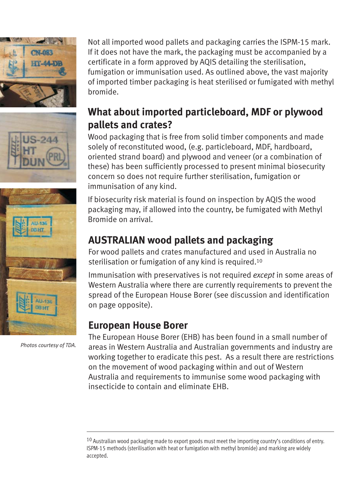

011-136

of imported timber packaging is heat sterilised or fumigated with methyl bromide. **What about imported particleboard, MDF or plywood pallets and crates?**

Wood packaging that is free from solid timber components and made solely of reconstituted wood, (e.g. particleboard, MDF, hardboard, oriented strand board) and plywood and veneer (or a combination of these) has been sufficiently processed to present minimal biosecurity concern so does not require further sterilisation, fumigation or immunisation of any kind.

Not all imported wood pallets and packaging carries the ISPM-15 mark. If it does not have the mark, the packaging must be accompanied by a certificate in a form approved by AQIS detailing the sterilisation, fumigation or immunisation used. As outlined above, the vast majority

If biosecurity risk material is found on inspection by AQIS the wood packaging may, if allowed into the country, be fumigated with Methyl Bromide on arrival.

#### **AUSTRALIAN wood pallets and packaging**

For wood pallets and crates manufactured and used in Australia no sterilisation or fumigation of any kind is required. 10

Immunisation with preservatives is not required except in some areas of Western Australia where there are currently requirements to prevent the spread of the European House Borer (see discussion and identification on page opposite).

#### **European House Borer**

The European House Borer (EHB) has been found in a small number of areas in Western Australia and Australian governments and industry are working together to eradicate this pest. As a result there are restrictions on the movement of wood packaging within and out of Western Australia and requirements to immunise some wood packaging with insecticide to contain and eliminate EHB.

*Photos courtesy of TDA.*

 $10$  Australian wood packaging made to export goods must meet the importing country's conditions of entry. ISPM-15 methods (sterilisation with heat or fumigation with methyl bromide) and marking are widely accepted.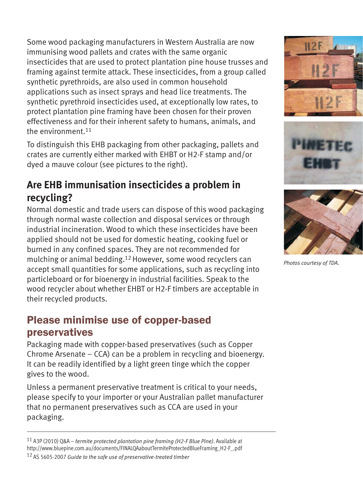Some wood packaging manufacturers in Western Australia are now immunising wood pallets and crates with the same organic insecticides that are used to protect plantation pine house trusses and framing against termite attack. These insecticides, from a group called synthetic pyrethroids, are also used in common household applications such as insect sprays and head lice treatments. The synthetic pyrethroid insecticides used, at exceptionally low rates, to protect plantation pine framing have been chosen for their proven effectiveness and for their inherent safety to humans, animals, and the environment. 11

To distinguish this EHB packaging from other packaging, pallets and crates are currently either marked with EHBT or H2-F stamp and/or dyed a mauve colour (see pictures to the right).

#### **Are EHB immunisation insecticides a problem in recycling?**

Normal domestic and trade users can dispose of this wood packaging through normal waste collection and disposal services or through industrial incineration. Wood to which these insecticides have been applied should not be used for domestic heating, cooking fuel or burned in any confined spaces. They are not recommended for mulching or animal bedding. <sup>12</sup> However, some wood recyclers can particleboard or for bioenergy in industrial facilities. Speak to the wood recycler about whether EHBT or H2-F timbers are acceptable in their recycled products. accept small quantities for some applications, such as recycling into

#### Please minimise use of copper-based preservatives

Packaging made with copper-based preservatives (such as Copper Chrome Arsenate – CCA) can be a problem in recycling and bioenergy. It can be readily identified by a light green tinge which the copper gives to the wood.

Unless a permanent preservative treatment is critical to your needs, please specify to your importer or your Australian pallet manufacturer that no permanent preservatives such as CCA are used in your packaging.

<sup>11</sup> A3P (2010) Q&A – termite protected plantation pine framing (H2-F Blue Pine). Available at http://www.bluepine.com.au/documents/FINALQAaboutTermiteProtectedBlueFraming\_H2-F\_.pdf

12 AS 5605-2007 *Guide to the safe use of preservative-treated timber*







*Photos courtesy of TDA.*